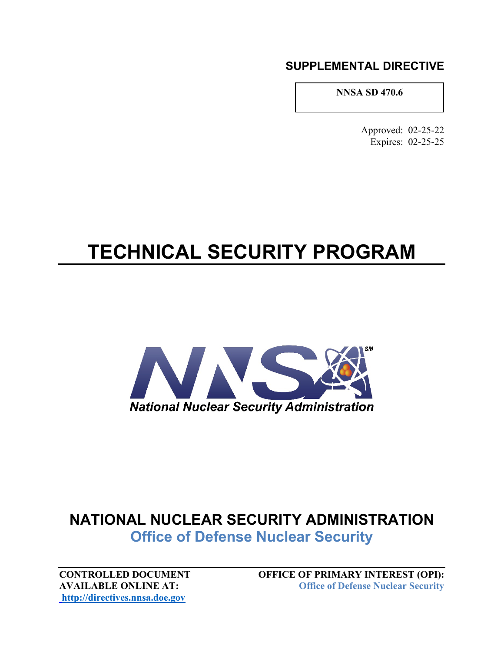## **SUPPLEMENTAL DIRECTIVE**

**NNSA SD 470.6**

Approved: 02-25-22 Expires: 02-25-25

## **TECHNICAL SECURITY PROGRAM**



## **NATIONAL NUCLEAR SECURITY ADMINISTRATION Office of Defense Nuclear Security**

**[http://directives.nnsa.doe.gov](http://directives.nnsa.doe.gov/)**

**CONTROLLED DOCUMENT OFFICE OF PRIMARY INTEREST (OPI):**<br>AVAILABLE ONLINE AT: **Office of Defense Nuclear Security ACIS Office of Defense Nuclear Security**